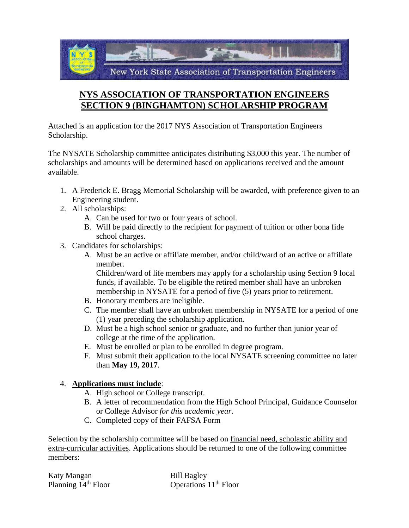

## **NYS ASSOCIATION OF TRANSPORTATION ENGINEERS SECTION 9 (BINGHAMTON) SCHOLARSHIP PROGRAM**

Attached is an application for the 2017 NYS Association of Transportation Engineers Scholarship.

The NYSATE Scholarship committee anticipates distributing \$3,000 this year. The number of scholarships and amounts will be determined based on applications received and the amount available.

- 1. A Frederick E. Bragg Memorial Scholarship will be awarded, with preference given to an Engineering student.
- 2. All scholarships:
	- A. Can be used for two or four years of school.
	- B. Will be paid directly to the recipient for payment of tuition or other bona fide school charges.
- 3. Candidates for scholarships:
	- A. Must be an active or affiliate member, and/or child/ward of an active or affiliate member.

Children/ward of life members may apply for a scholarship using Section 9 local funds, if available. To be eligible the retired member shall have an unbroken membership in NYSATE for a period of five (5) years prior to retirement.

- B. Honorary members are ineligible.
- C. The member shall have an unbroken membership in NYSATE for a period of one (1) year preceding the scholarship application.
- D. Must be a high school senior or graduate, and no further than junior year of college at the time of the application.
- E. Must be enrolled or plan to be enrolled in degree program.
- F. Must submit their application to the local NYSATE screening committee no later than **May 19, 2017**.

## 4. **Applications must include**:

- A. High school or College transcript.
- B. A letter of recommendation from the High School Principal, Guidance Counselor or College Advisor *for this academic year*.
- C. Completed copy of their FAFSA Form

Selection by the scholarship committee will be based on financial need, scholastic ability and extra-curricular activities. Applications should be returned to one of the following committee members:

| Katy Mangan           | <b>Bill Bagley</b>                |
|-----------------------|-----------------------------------|
| Planning $14th$ Floor | Operations 11 <sup>th</sup> Floor |